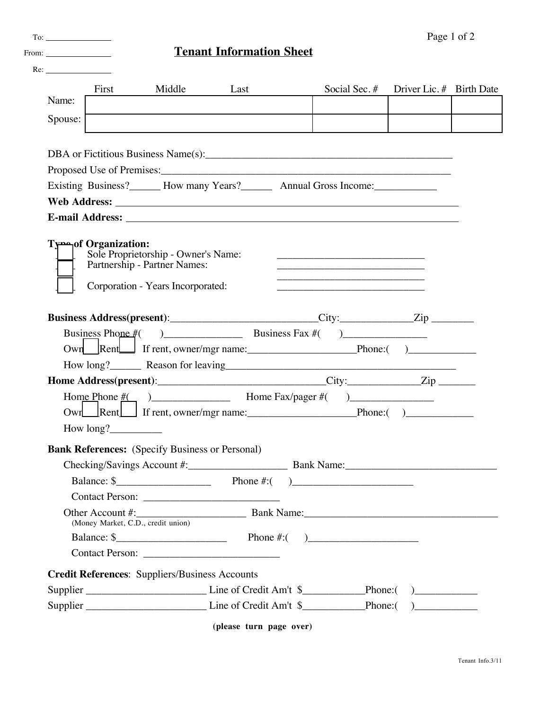| From: $\frac{1}{\sqrt{1-\frac{1}{2}}\sqrt{1-\frac{1}{2}}\sqrt{1-\frac{1}{2}}\sqrt{1-\frac{1}{2}}\sqrt{1-\frac{1}{2}}\sqrt{1-\frac{1}{2}}\sqrt{1-\frac{1}{2}}\sqrt{1-\frac{1}{2}}\sqrt{1-\frac{1}{2}}\sqrt{1-\frac{1}{2}}\sqrt{1-\frac{1}{2}}\sqrt{1-\frac{1}{2}}\sqrt{1-\frac{1}{2}}\sqrt{1-\frac{1}{2}}\sqrt{1-\frac{1}{2}}\sqrt{1-\frac{1}{2}}\sqrt{1-\frac{1}{2}}\sqrt{1-\frac{1}{2}}\sqrt{1-\frac{1}{2}}$ |           |                                                       | <b>Tenant Information Sheet</b>                                                                                                                                                                                                |               |                          |  |
|---------------------------------------------------------------------------------------------------------------------------------------------------------------------------------------------------------------------------------------------------------------------------------------------------------------------------------------------------------------------------------------------------------------|-----------|-------------------------------------------------------|--------------------------------------------------------------------------------------------------------------------------------------------------------------------------------------------------------------------------------|---------------|--------------------------|--|
| Re:                                                                                                                                                                                                                                                                                                                                                                                                           |           |                                                       |                                                                                                                                                                                                                                |               |                          |  |
| Name:                                                                                                                                                                                                                                                                                                                                                                                                         | First     | Middle                                                | Last                                                                                                                                                                                                                           | Social Sec. # | Driver Lic. # Birth Date |  |
|                                                                                                                                                                                                                                                                                                                                                                                                               |           |                                                       |                                                                                                                                                                                                                                |               |                          |  |
| Spouse:                                                                                                                                                                                                                                                                                                                                                                                                       |           |                                                       |                                                                                                                                                                                                                                |               |                          |  |
|                                                                                                                                                                                                                                                                                                                                                                                                               |           |                                                       |                                                                                                                                                                                                                                |               |                          |  |
|                                                                                                                                                                                                                                                                                                                                                                                                               |           |                                                       | Proposed Use of Premises: New York Contract the Contract of the Contract of the Contract of the Contract of the Contract of the Contract of the Contract of the Contract of the Contract of the Contract of the Contract of th |               |                          |  |
|                                                                                                                                                                                                                                                                                                                                                                                                               |           |                                                       | Existing Business? How many Years? Annual Gross Income:                                                                                                                                                                        |               |                          |  |
|                                                                                                                                                                                                                                                                                                                                                                                                               |           |                                                       |                                                                                                                                                                                                                                |               |                          |  |
|                                                                                                                                                                                                                                                                                                                                                                                                               |           |                                                       |                                                                                                                                                                                                                                |               |                          |  |
|                                                                                                                                                                                                                                                                                                                                                                                                               |           | Corporation - Years Incorporated:                     |                                                                                                                                                                                                                                |               |                          |  |
|                                                                                                                                                                                                                                                                                                                                                                                                               |           |                                                       | Business Address(present):__________________________City:____________Zip ________                                                                                                                                              |               |                          |  |
|                                                                                                                                                                                                                                                                                                                                                                                                               |           |                                                       | Business Phone $#($ $)$ Business Fax $#($ $)$                                                                                                                                                                                  |               |                          |  |
|                                                                                                                                                                                                                                                                                                                                                                                                               |           |                                                       | Own Rent Frent, owner/mgr name: Phone: ()                                                                                                                                                                                      |               |                          |  |
|                                                                                                                                                                                                                                                                                                                                                                                                               |           |                                                       | How long? Reason for leaving Reason for Leaving Reason for leaving Reason for leaving Reason Section 2014                                                                                                                      |               |                          |  |
|                                                                                                                                                                                                                                                                                                                                                                                                               |           |                                                       | Home Address(present): City: City: Zip                                                                                                                                                                                         |               |                          |  |
|                                                                                                                                                                                                                                                                                                                                                                                                               |           |                                                       |                                                                                                                                                                                                                                |               |                          |  |
|                                                                                                                                                                                                                                                                                                                                                                                                               |           |                                                       | Own Rent Frent, owner/mgr name: Phone: ()                                                                                                                                                                                      |               |                          |  |
|                                                                                                                                                                                                                                                                                                                                                                                                               | How long? |                                                       |                                                                                                                                                                                                                                |               |                          |  |
|                                                                                                                                                                                                                                                                                                                                                                                                               |           |                                                       | <b>Bank References:</b> (Specify Business or Personal)                                                                                                                                                                         |               |                          |  |
|                                                                                                                                                                                                                                                                                                                                                                                                               |           |                                                       |                                                                                                                                                                                                                                |               |                          |  |
|                                                                                                                                                                                                                                                                                                                                                                                                               |           |                                                       |                                                                                                                                                                                                                                |               |                          |  |
|                                                                                                                                                                                                                                                                                                                                                                                                               |           |                                                       | Balance: $\frac{\sqrt{2}}{2}$ Phone #:( )                                                                                                                                                                                      |               |                          |  |
|                                                                                                                                                                                                                                                                                                                                                                                                               |           |                                                       |                                                                                                                                                                                                                                |               |                          |  |
|                                                                                                                                                                                                                                                                                                                                                                                                               |           | (Money Market, C.D., credit union)                    |                                                                                                                                                                                                                                |               |                          |  |
|                                                                                                                                                                                                                                                                                                                                                                                                               |           |                                                       | Balance: $\frac{\sqrt{2}}{2}$ Phone #:( )                                                                                                                                                                                      |               |                          |  |
|                                                                                                                                                                                                                                                                                                                                                                                                               |           |                                                       |                                                                                                                                                                                                                                |               |                          |  |
|                                                                                                                                                                                                                                                                                                                                                                                                               |           | <b>Credit References: Suppliers/Business Accounts</b> |                                                                                                                                                                                                                                |               |                          |  |
|                                                                                                                                                                                                                                                                                                                                                                                                               |           |                                                       |                                                                                                                                                                                                                                |               |                          |  |

To: Page 1 of 2